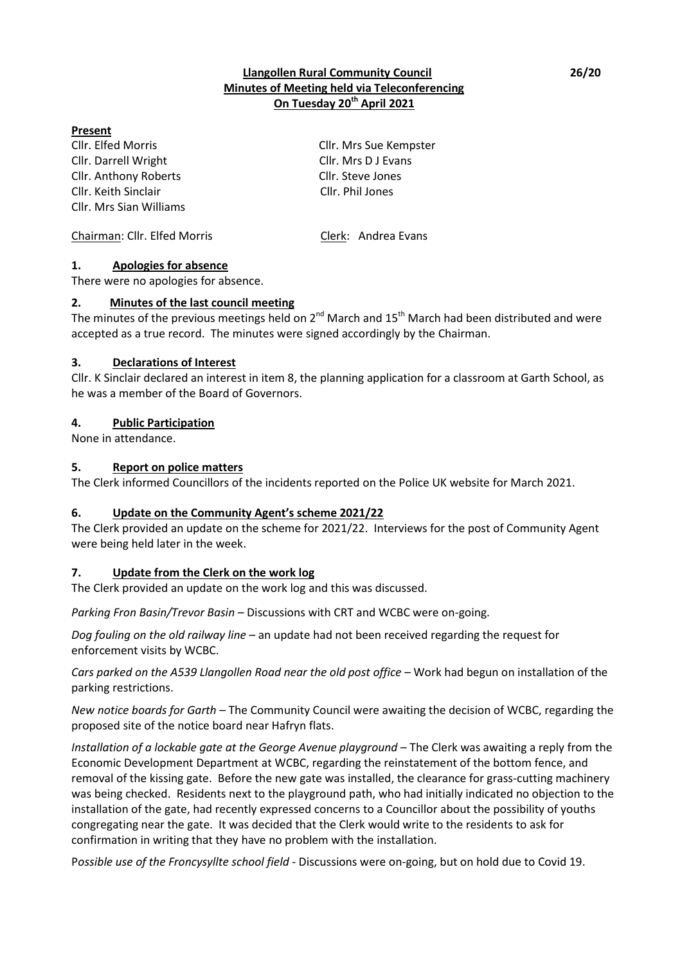## **Llangollen Rural Community Council 26/20 Minutes of Meeting held via Teleconferencing On Tuesday 20th April 2021**

## **Present**

Cllr. Elfed Morris Cllr. Mrs Sue Kempster Cllr. Darrell Wright Cllr. Mrs D J Evans Cllr. Anthony Roberts Cllr. Steve Jones Cllr. Keith Sinclair Cllr. Phil Jones Cllr. Mrs Sian Williams

Chairman: Cllr. Elfed Morris Clerk: Andrea Evans

## **1. Apologies for absence**

There were no apologies for absence.

## **2. Minutes of the last council meeting**

The minutes of the previous meetings held on  $2^{nd}$  March and  $15^{th}$  March had been distributed and were accepted as a true record. The minutes were signed accordingly by the Chairman.

## **3. Declarations of Interest**

Cllr. K Sinclair declared an interest in item 8, the planning application for a classroom at Garth School, as he was a member of the Board of Governors.

## **4. Public Participation**

None in attendance.

## **5. Report on police matters**

The Clerk informed Councillors of the incidents reported on the Police UK website for March 2021.

## **6. Update on the Community Agent's scheme 2021/22**

The Clerk provided an update on the scheme for 2021/22. Interviews for the post of Community Agent were being held later in the week.

## **7. Update from the Clerk on the work log**

The Clerk provided an update on the work log and this was discussed.

*Parking Fron Basin/Trevor Basin* – Discussions with CRT and WCBC were on-going.

*Dog fouling on the old railway line* – an update had not been received regarding the request for enforcement visits by WCBC.

*Cars parked on the A539 Llangollen Road near the old post office* – Work had begun on installation of the parking restrictions.

*New notice boards for Garth* – The Community Council were awaiting the decision of WCBC, regarding the proposed site of the notice board near Hafryn flats.

*Installation of a lockable gate at the George Avenue playground* – The Clerk was awaiting a reply from the Economic Development Department at WCBC, regarding the reinstatement of the bottom fence, and removal of the kissing gate. Before the new gate was installed, the clearance for grass-cutting machinery was being checked. Residents next to the playground path, who had initially indicated no objection to the installation of the gate, had recently expressed concerns to a Councillor about the possibility of youths congregating near the gate. It was decided that the Clerk would write to the residents to ask for confirmation in writing that they have no problem with the installation.

P*ossible use of the Froncysyllte school field* - Discussions were on-going, but on hold due to Covid 19.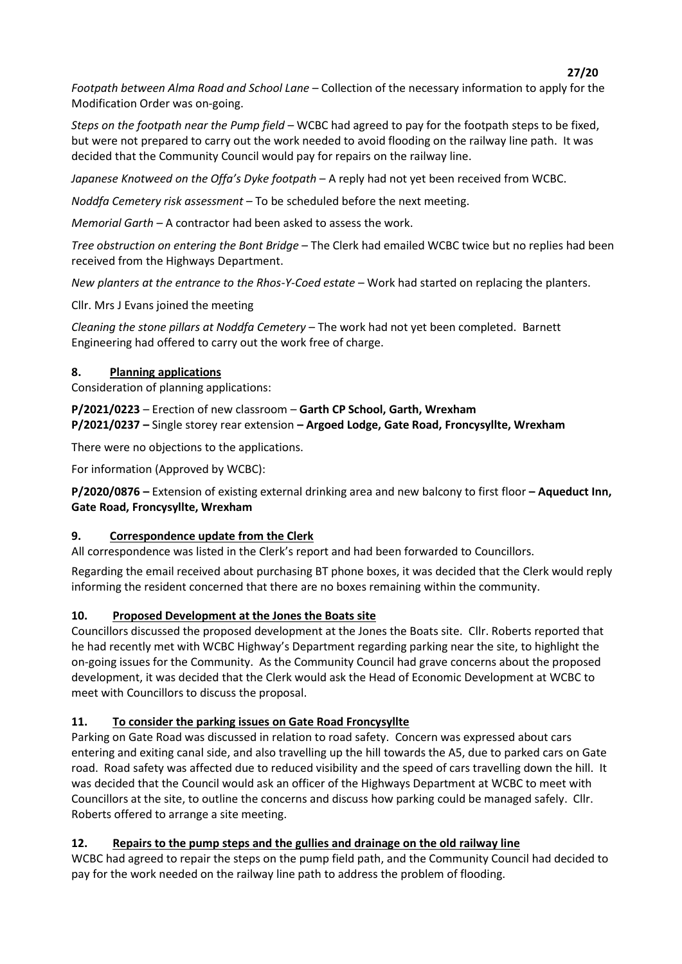**27/20** *Footpath between Alma Road and School Lane* – Collection of the necessary information to apply for the Modification Order was on-going.

*Steps on the footpath near the Pump field* – WCBC had agreed to pay for the footpath steps to be fixed, but were not prepared to carry out the work needed to avoid flooding on the railway line path. It was decided that the Community Council would pay for repairs on the railway line.

*Japanese Knotweed on the Offa's Dyke footpath* – A reply had not yet been received from WCBC.

*Noddfa Cemetery risk assessment –* To be scheduled before the next meeting.

*Memorial Garth* – A contractor had been asked to assess the work.

*Tree obstruction on entering the Bont Bridge* – The Clerk had emailed WCBC twice but no replies had been received from the Highways Department.

*New planters at the entrance to the Rhos-Y-Coed estate* – Work had started on replacing the planters.

Cllr. Mrs J Evans joined the meeting

*Cleaning the stone pillars at Noddfa Cemetery* – The work had not yet been completed. Barnett Engineering had offered to carry out the work free of charge.

# **8. Planning applications**

Consideration of planning applications:

**P/2021/0223** – Erection of new classroom – **Garth CP School, Garth, Wrexham P/2021/0237 –** Single storey rear extension **– Argoed Lodge, Gate Road, Froncysyllte, Wrexham**

There were no objections to the applications.

For information (Approved by WCBC):

**P/2020/0876 –** Extension of existing external drinking area and new balcony to first floor **– Aqueduct Inn, Gate Road, Froncysyllte, Wrexham**

# **9. Correspondence update from the Clerk**

All correspondence was listed in the Clerk's report and had been forwarded to Councillors.

Regarding the email received about purchasing BT phone boxes, it was decided that the Clerk would reply informing the resident concerned that there are no boxes remaining within the community.

# **10. Proposed Development at the Jones the Boats site**

Councillors discussed the proposed development at the Jones the Boats site. Cllr. Roberts reported that he had recently met with WCBC Highway's Department regarding parking near the site, to highlight the on-going issues for the Community. As the Community Council had grave concerns about the proposed development, it was decided that the Clerk would ask the Head of Economic Development at WCBC to meet with Councillors to discuss the proposal.

# **11. To consider the parking issues on Gate Road Froncysyllte**

Parking on Gate Road was discussed in relation to road safety. Concern was expressed about cars entering and exiting canal side, and also travelling up the hill towards the A5, due to parked cars on Gate road. Road safety was affected due to reduced visibility and the speed of cars travelling down the hill. It was decided that the Council would ask an officer of the Highways Department at WCBC to meet with Councillors at the site, to outline the concerns and discuss how parking could be managed safely. Cllr. Roberts offered to arrange a site meeting.

# **12. Repairs to the pump steps and the gullies and drainage on the old railway line**

WCBC had agreed to repair the steps on the pump field path, and the Community Council had decided to pay for the work needed on the railway line path to address the problem of flooding.